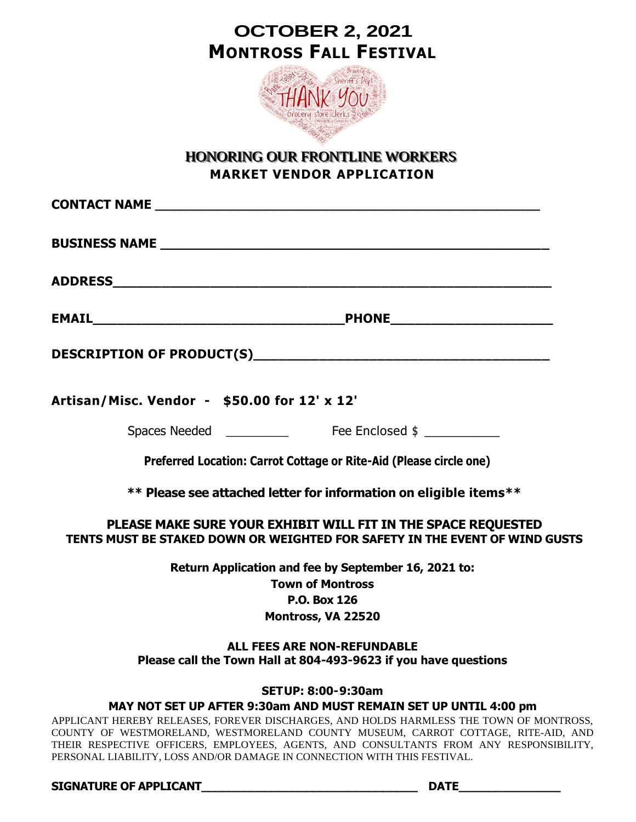## **OCTOBER 2, 2021 MONTROSS FALL FESTIVAL**



## HONORING OUR FRONTLINE WORKERS **MARKET VENDOR APPLICATION**

| Artisan/Misc. Vendor - \$50.00 for 12' x 12'                                                                                                                                                                                                                                                                                                       |
|----------------------------------------------------------------------------------------------------------------------------------------------------------------------------------------------------------------------------------------------------------------------------------------------------------------------------------------------------|
|                                                                                                                                                                                                                                                                                                                                                    |
| Preferred Location: Carrot Cottage or Rite-Aid (Please circle one)                                                                                                                                                                                                                                                                                 |
| ** Please see attached letter for information on eligible items**                                                                                                                                                                                                                                                                                  |
| PLEASE MAKE SURE YOUR EXHIBIT WILL FIT IN THE SPACE REQUESTED<br>TENTS MUST BE STAKED DOWN OR WEIGHTED FOR SAFETY IN THE EVENT OF WIND GUSTS                                                                                                                                                                                                       |
| Return Application and fee by September 16, 2021 to:                                                                                                                                                                                                                                                                                               |
| <b>Town of Montross</b>                                                                                                                                                                                                                                                                                                                            |
| <b>P.O. Box 126</b>                                                                                                                                                                                                                                                                                                                                |
| Montross, VA 22520                                                                                                                                                                                                                                                                                                                                 |
| <b>ALL FEES ARE NON-REFUNDABLE</b><br>Please call the Town Hall at 804-493-9623 if you have questions                                                                                                                                                                                                                                              |
| <b>SETUP: 8:00-9:30am</b>                                                                                                                                                                                                                                                                                                                          |
| MAY NOT SET UP AFTER 9:30am AND MUST REMAIN SET UP UNTIL 4:00 pm                                                                                                                                                                                                                                                                                   |
| APPLICANT HEREBY RELEASES, FOREVER DISCHARGES, AND HOLDS HARMLESS THE TOWN OF MONTROSS,<br>COUNTY OF WESTMORELAND, WESTMORELAND COUNTY MUSEUM, CARROT COTTAGE, RITE-AID, AND<br>THEIR RESPECTIVE OFFICERS, EMPLOYEES, AGENTS, AND CONSULTANTS FROM ANY RESPONSIBILITY,<br>PERSONAL LIABILITY, LOSS AND/OR DAMAGE IN CONNECTION WITH THIS FESTIVAL. |

**SIGNATURE OF APPLICANT\_\_\_\_\_\_\_\_\_\_\_\_\_\_\_\_\_\_\_\_\_\_\_\_\_\_\_\_\_\_\_ DATE\_\_\_\_\_\_\_\_\_\_\_\_\_\_**